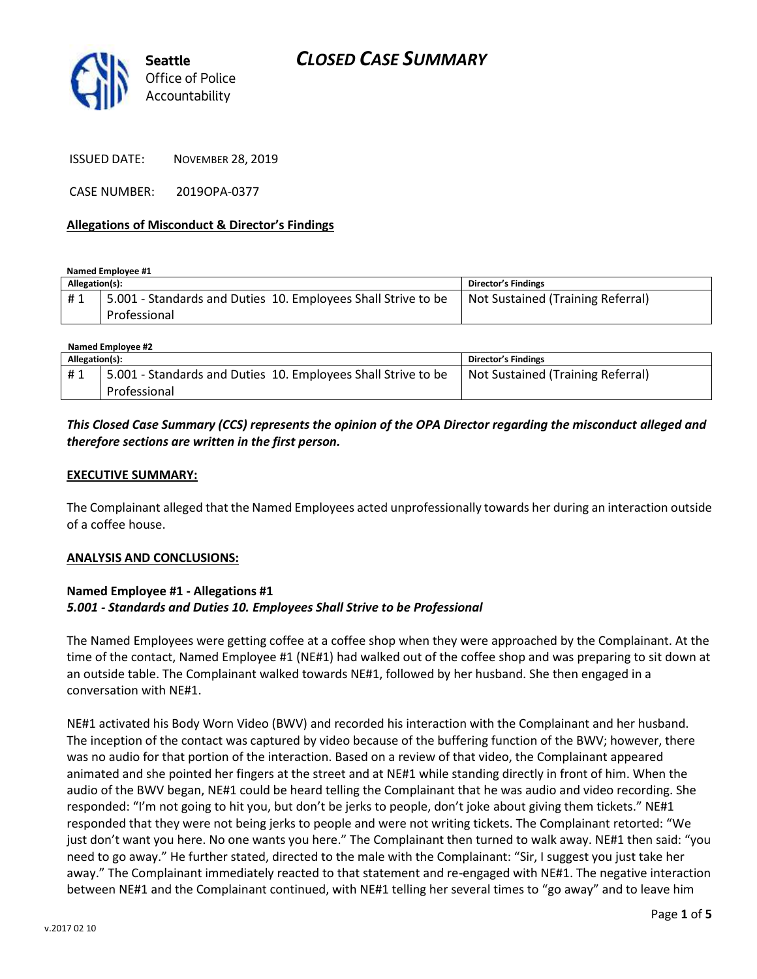

ISSUED DATE: NOVEMBER 28, 2019

CASE NUMBER: 2019OPA-0377

#### **Allegations of Misconduct & Director's Findings**

**Named Employee #1**

| Allegation(s): |                                                                               | Director's Findings               |
|----------------|-------------------------------------------------------------------------------|-----------------------------------|
| #1             | 5.001 - Standards and Duties 10. Employees Shall Strive to be<br>Professional | Not Sustained (Training Referral) |

| Named Employee #2 |                                                               |                                   |  |
|-------------------|---------------------------------------------------------------|-----------------------------------|--|
| Allegation(s):    |                                                               | Director's Findings               |  |
| #1                | 5.001 - Standards and Duties 10. Employees Shall Strive to be | Not Sustained (Training Referral) |  |
|                   | Professional                                                  |                                   |  |

## *This Closed Case Summary (CCS) represents the opinion of the OPA Director regarding the misconduct alleged and therefore sections are written in the first person.*

#### **EXECUTIVE SUMMARY:**

The Complainant alleged that the Named Employees acted unprofessionally towards her during an interaction outside of a coffee house.

#### **ANALYSIS AND CONCLUSIONS:**

#### **Named Employee #1 - Allegations #1** *5.001 - Standards and Duties 10. Employees Shall Strive to be Professional*

The Named Employees were getting coffee at a coffee shop when they were approached by the Complainant. At the time of the contact, Named Employee #1 (NE#1) had walked out of the coffee shop and was preparing to sit down at an outside table. The Complainant walked towards NE#1, followed by her husband. She then engaged in a conversation with NE#1.

NE#1 activated his Body Worn Video (BWV) and recorded his interaction with the Complainant and her husband. The inception of the contact was captured by video because of the buffering function of the BWV; however, there was no audio for that portion of the interaction. Based on a review of that video, the Complainant appeared animated and she pointed her fingers at the street and at NE#1 while standing directly in front of him. When the audio of the BWV began, NE#1 could be heard telling the Complainant that he was audio and video recording. She responded: "I'm not going to hit you, but don't be jerks to people, don't joke about giving them tickets." NE#1 responded that they were not being jerks to people and were not writing tickets. The Complainant retorted: "We just don't want you here. No one wants you here." The Complainant then turned to walk away. NE#1 then said: "you need to go away." He further stated, directed to the male with the Complainant: "Sir, I suggest you just take her away." The Complainant immediately reacted to that statement and re-engaged with NE#1. The negative interaction between NE#1 and the Complainant continued, with NE#1 telling her several times to "go away" and to leave him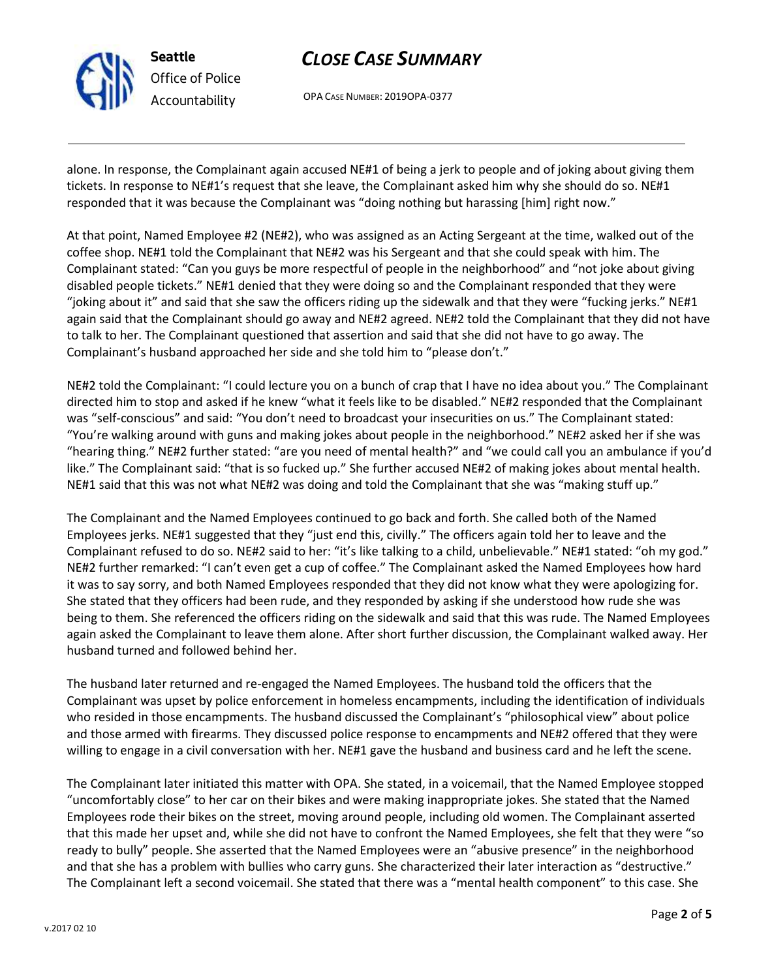

# *CLOSE CASE SUMMARY*

OPA CASE NUMBER: 2019OPA-0377

alone. In response, the Complainant again accused NE#1 of being a jerk to people and of joking about giving them tickets. In response to NE#1's request that she leave, the Complainant asked him why she should do so. NE#1 responded that it was because the Complainant was "doing nothing but harassing [him] right now."

At that point, Named Employee #2 (NE#2), who was assigned as an Acting Sergeant at the time, walked out of the coffee shop. NE#1 told the Complainant that NE#2 was his Sergeant and that she could speak with him. The Complainant stated: "Can you guys be more respectful of people in the neighborhood" and "not joke about giving disabled people tickets." NE#1 denied that they were doing so and the Complainant responded that they were "joking about it" and said that she saw the officers riding up the sidewalk and that they were "fucking jerks." NE#1 again said that the Complainant should go away and NE#2 agreed. NE#2 told the Complainant that they did not have to talk to her. The Complainant questioned that assertion and said that she did not have to go away. The Complainant's husband approached her side and she told him to "please don't."

NE#2 told the Complainant: "I could lecture you on a bunch of crap that I have no idea about you." The Complainant directed him to stop and asked if he knew "what it feels like to be disabled." NE#2 responded that the Complainant was "self-conscious" and said: "You don't need to broadcast your insecurities on us." The Complainant stated: "You're walking around with guns and making jokes about people in the neighborhood." NE#2 asked her if she was "hearing thing." NE#2 further stated: "are you need of mental health?" and "we could call you an ambulance if you'd like." The Complainant said: "that is so fucked up." She further accused NE#2 of making jokes about mental health. NE#1 said that this was not what NE#2 was doing and told the Complainant that she was "making stuff up."

The Complainant and the Named Employees continued to go back and forth. She called both of the Named Employees jerks. NE#1 suggested that they "just end this, civilly." The officers again told her to leave and the Complainant refused to do so. NE#2 said to her: "it's like talking to a child, unbelievable." NE#1 stated: "oh my god." NE#2 further remarked: "I can't even get a cup of coffee." The Complainant asked the Named Employees how hard it was to say sorry, and both Named Employees responded that they did not know what they were apologizing for. She stated that they officers had been rude, and they responded by asking if she understood how rude she was being to them. She referenced the officers riding on the sidewalk and said that this was rude. The Named Employees again asked the Complainant to leave them alone. After short further discussion, the Complainant walked away. Her husband turned and followed behind her.

The husband later returned and re-engaged the Named Employees. The husband told the officers that the Complainant was upset by police enforcement in homeless encampments, including the identification of individuals who resided in those encampments. The husband discussed the Complainant's "philosophical view" about police and those armed with firearms. They discussed police response to encampments and NE#2 offered that they were willing to engage in a civil conversation with her. NE#1 gave the husband and business card and he left the scene.

The Complainant later initiated this matter with OPA. She stated, in a voicemail, that the Named Employee stopped "uncomfortably close" to her car on their bikes and were making inappropriate jokes. She stated that the Named Employees rode their bikes on the street, moving around people, including old women. The Complainant asserted that this made her upset and, while she did not have to confront the Named Employees, she felt that they were "so ready to bully" people. She asserted that the Named Employees were an "abusive presence" in the neighborhood and that she has a problem with bullies who carry guns. She characterized their later interaction as "destructive." The Complainant left a second voicemail. She stated that there was a "mental health component" to this case. She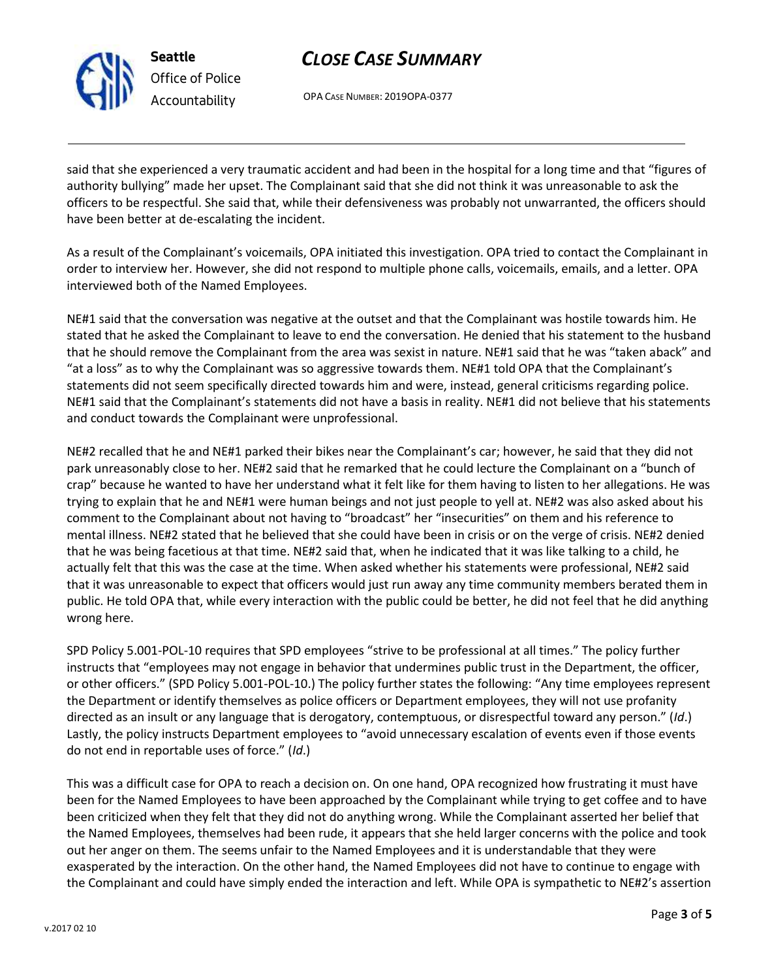

# *CLOSE CASE SUMMARY*

OPA CASE NUMBER: 2019OPA-0377

said that she experienced a very traumatic accident and had been in the hospital for a long time and that "figures of authority bullying" made her upset. The Complainant said that she did not think it was unreasonable to ask the officers to be respectful. She said that, while their defensiveness was probably not unwarranted, the officers should have been better at de-escalating the incident.

As a result of the Complainant's voicemails, OPA initiated this investigation. OPA tried to contact the Complainant in order to interview her. However, she did not respond to multiple phone calls, voicemails, emails, and a letter. OPA interviewed both of the Named Employees.

NE#1 said that the conversation was negative at the outset and that the Complainant was hostile towards him. He stated that he asked the Complainant to leave to end the conversation. He denied that his statement to the husband that he should remove the Complainant from the area was sexist in nature. NE#1 said that he was "taken aback" and "at a loss" as to why the Complainant was so aggressive towards them. NE#1 told OPA that the Complainant's statements did not seem specifically directed towards him and were, instead, general criticisms regarding police. NE#1 said that the Complainant's statements did not have a basis in reality. NE#1 did not believe that his statements and conduct towards the Complainant were unprofessional.

NE#2 recalled that he and NE#1 parked their bikes near the Complainant's car; however, he said that they did not park unreasonably close to her. NE#2 said that he remarked that he could lecture the Complainant on a "bunch of crap" because he wanted to have her understand what it felt like for them having to listen to her allegations. He was trying to explain that he and NE#1 were human beings and not just people to yell at. NE#2 was also asked about his comment to the Complainant about not having to "broadcast" her "insecurities" on them and his reference to mental illness. NE#2 stated that he believed that she could have been in crisis or on the verge of crisis. NE#2 denied that he was being facetious at that time. NE#2 said that, when he indicated that it was like talking to a child, he actually felt that this was the case at the time. When asked whether his statements were professional, NE#2 said that it was unreasonable to expect that officers would just run away any time community members berated them in public. He told OPA that, while every interaction with the public could be better, he did not feel that he did anything wrong here.

SPD Policy 5.001-POL-10 requires that SPD employees "strive to be professional at all times." The policy further instructs that "employees may not engage in behavior that undermines public trust in the Department, the officer, or other officers." (SPD Policy 5.001-POL-10.) The policy further states the following: "Any time employees represent the Department or identify themselves as police officers or Department employees, they will not use profanity directed as an insult or any language that is derogatory, contemptuous, or disrespectful toward any person." (*Id*.) Lastly, the policy instructs Department employees to "avoid unnecessary escalation of events even if those events do not end in reportable uses of force." (*Id*.)

This was a difficult case for OPA to reach a decision on. On one hand, OPA recognized how frustrating it must have been for the Named Employees to have been approached by the Complainant while trying to get coffee and to have been criticized when they felt that they did not do anything wrong. While the Complainant asserted her belief that the Named Employees, themselves had been rude, it appears that she held larger concerns with the police and took out her anger on them. The seems unfair to the Named Employees and it is understandable that they were exasperated by the interaction. On the other hand, the Named Employees did not have to continue to engage with the Complainant and could have simply ended the interaction and left. While OPA is sympathetic to NE#2's assertion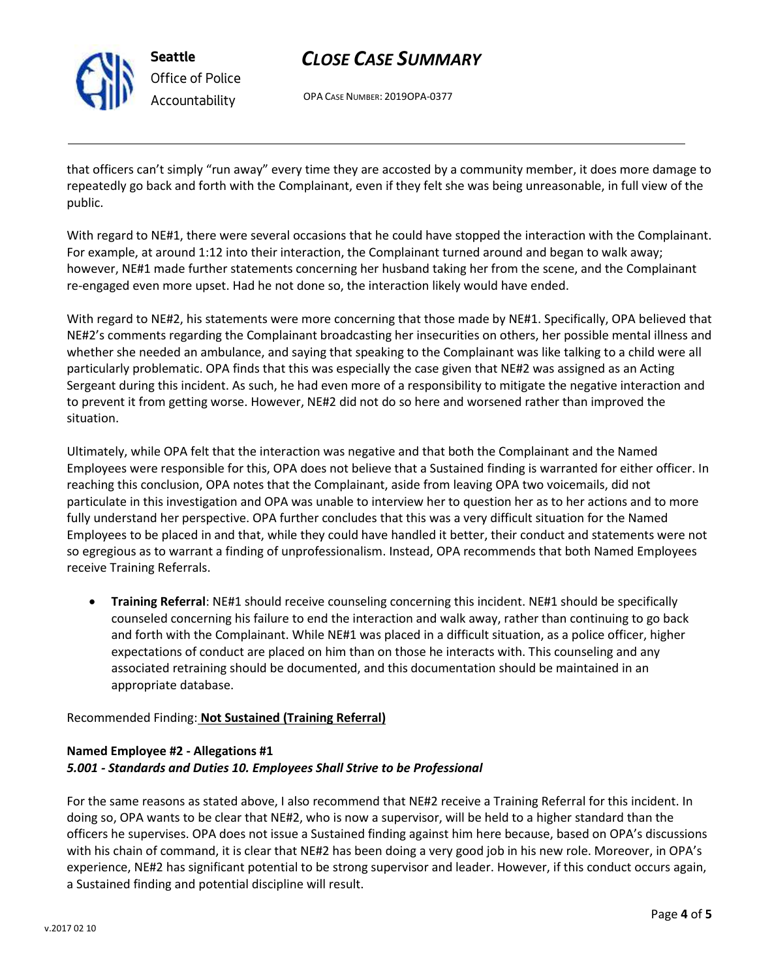

# *CLOSE CASE SUMMARY*

OPA CASE NUMBER: 2019OPA-0377

that officers can't simply "run away" every time they are accosted by a community member, it does more damage to repeatedly go back and forth with the Complainant, even if they felt she was being unreasonable, in full view of the public.

With regard to NE#1, there were several occasions that he could have stopped the interaction with the Complainant. For example, at around 1:12 into their interaction, the Complainant turned around and began to walk away; however, NE#1 made further statements concerning her husband taking her from the scene, and the Complainant re-engaged even more upset. Had he not done so, the interaction likely would have ended.

With regard to NE#2, his statements were more concerning that those made by NE#1. Specifically, OPA believed that NE#2's comments regarding the Complainant broadcasting her insecurities on others, her possible mental illness and whether she needed an ambulance, and saying that speaking to the Complainant was like talking to a child were all particularly problematic. OPA finds that this was especially the case given that NE#2 was assigned as an Acting Sergeant during this incident. As such, he had even more of a responsibility to mitigate the negative interaction and to prevent it from getting worse. However, NE#2 did not do so here and worsened rather than improved the situation.

Ultimately, while OPA felt that the interaction was negative and that both the Complainant and the Named Employees were responsible for this, OPA does not believe that a Sustained finding is warranted for either officer. In reaching this conclusion, OPA notes that the Complainant, aside from leaving OPA two voicemails, did not particulate in this investigation and OPA was unable to interview her to question her as to her actions and to more fully understand her perspective. OPA further concludes that this was a very difficult situation for the Named Employees to be placed in and that, while they could have handled it better, their conduct and statements were not so egregious as to warrant a finding of unprofessionalism. Instead, OPA recommends that both Named Employees receive Training Referrals.

• **Training Referral**: NE#1 should receive counseling concerning this incident. NE#1 should be specifically counseled concerning his failure to end the interaction and walk away, rather than continuing to go back and forth with the Complainant. While NE#1 was placed in a difficult situation, as a police officer, higher expectations of conduct are placed on him than on those he interacts with. This counseling and any associated retraining should be documented, and this documentation should be maintained in an appropriate database.

### Recommended Finding: **Not Sustained (Training Referral)**

## **Named Employee #2 - Allegations #1** *5.001 - Standards and Duties 10. Employees Shall Strive to be Professional*

For the same reasons as stated above, I also recommend that NE#2 receive a Training Referral for this incident. In doing so, OPA wants to be clear that NE#2, who is now a supervisor, will be held to a higher standard than the officers he supervises. OPA does not issue a Sustained finding against him here because, based on OPA's discussions with his chain of command, it is clear that NE#2 has been doing a very good job in his new role. Moreover, in OPA's experience, NE#2 has significant potential to be strong supervisor and leader. However, if this conduct occurs again, a Sustained finding and potential discipline will result.